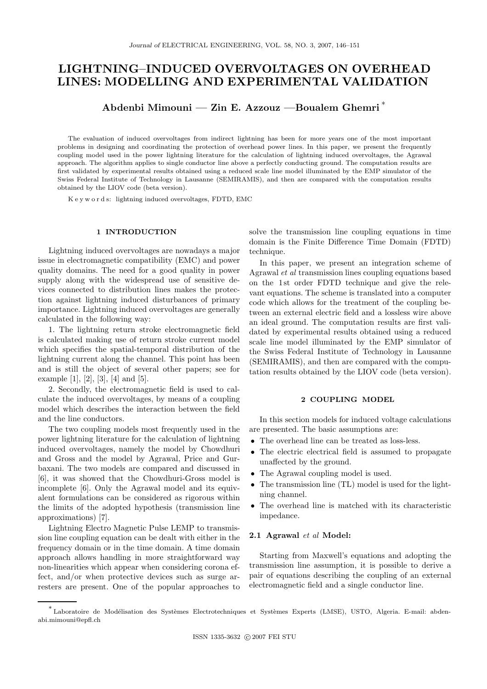# LIGHTNING–INDUCED OVERVOLTAGES ON OVERHEAD LINES: MODELLING AND EXPERIMENTAL VALIDATION

Abdenbi Mimouni — Zin E. Azzouz —Boualem Ghemri <sup>∗</sup>

The evaluation of induced overvoltages from indirect lightning has been for more years one of the most important problems in designing and coordinating the protection of overhead power lines. In this paper, we present the frequently coupling model used in the power lightning literature for the calculation of lightning induced overvoltages, the Agrawal approach. The algorithm applies to single conductor line above a perfectly conducting ground. The computation results are first validated by experimental results obtained using a reduced scale line model illuminated by the EMP simulator of the Swiss Federal Institute of Technology in Lausanne (SEMIRAMIS), and then are compared with the computation results obtained by the LIOV code (beta version).

K e y w o r d s: lightning induced overvoltages, FDTD, EMC

#### 1 INTRODUCTION

Lightning induced overvoltages are nowadays a major issue in electromagnetic compatibility (EMC) and power quality domains. The need for a good quality in power supply along with the widespread use of sensitive devices connected to distribution lines makes the protection against lightning induced disturbances of primary importance. Lightning induced overvoltages are generally calculated in the following way:

1. The lightning return stroke electromagnetic field is calculated making use of return stroke current model which specifies the spatial-temporal distribution of the lightning current along the channel. This point has been and is still the object of several other papers; see for example [1], [2], [3], [4] and [5].

2. Secondly, the electromagnetic field is used to calculate the induced overvoltages, by means of a coupling model which describes the interaction between the field and the line conductors.

The two coupling models most frequently used in the power lightning literature for the calculation of lightning induced overvoltages, namely the model by Chowdhuri and Gross and the model by Agrawal, Price and Gurbaxani. The two models are compared and discussed in [6], it was showed that the Chowdhuri-Gross model is incomplete [6]. Only the Agrawal model and its equivalent formulations can be considered as rigorous within the limits of the adopted hypothesis (transmission line approximations) [7].

Lightning Electro Magnetic Pulse LEMP to transmission line coupling equation can be dealt with either in the frequency domain or in the time domain. A time domain approach allows handling in more straightforward way non-linearities which appear when considering corona effect, and/or when protective devices such as surge arresters are present. One of the popular approaches to solve the transmission line coupling equations in time domain is the Finite Difference Time Domain (FDTD) technique.

In this paper, we present an integration scheme of Agrawal et al transmission lines coupling equations based on the 1 st order FDTD technique and give the relevant equations. The scheme is translated into a computer code which allows for the treatment of the coupling between an external electric field and a lossless wire above an ideal ground. The computation results are first validated by experimental results obtained using a reduced scale line model illuminated by the EMP simulator of the Swiss Federal Institute of Technology in Lausanne (SEMIRAMIS), and then are compared with the computation results obtained by the LIOV code (beta version).

## 2 COUPLING MODEL

In this section models for induced voltage calculations are presented. The basic assumptions are:

- The overhead line can be treated as loss-less.
- The electric electrical field is assumed to propagate unaffected by the ground.
- The Agrawal coupling model is used.
- The transmission line (TL) model is used for the lightning channel.
- The overhead line is matched with its characteristic impedance.

## 2.1 Agrawal et al Model:

Starting from Maxwell's equations and adopting the transmission line assumption, it is possible to derive a pair of equations describing the coupling of an external electromagnetic field and a single conductor line.

<sup>\*&</sup>lt;br>Laboratoire de Modélisation des Systèmes Electrotechniques et Systèmes Experts (LMSE), USTO, Algeria. E-mail: abdenabi.mimouni@epfl.ch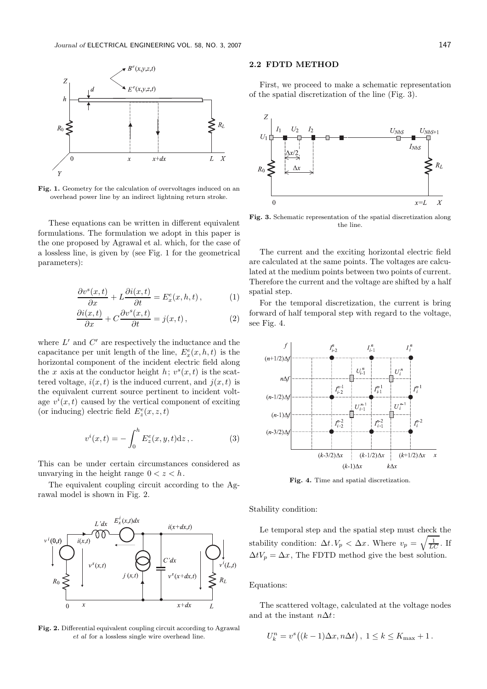

Fig. 1. Geometry for the calculation of overvoltages induced on an overhead power line by an indirect lightning return stroke.

These equations can be written in different equivalent formulations. The formulation we adopt in this paper is the one proposed by Agrawal et al. which, for the case of a lossless line, is given by (see Fig. 1 for the geometrical parameters):

$$
\frac{\partial v^s(x,t)}{\partial x} + L \frac{\partial i(x,t)}{\partial t} = E_x^e(x,h,t), \qquad (1)
$$

$$
\frac{\partial i(x,t)}{\partial x} + C \frac{\partial v^s(x,t)}{\partial t} = j(x,t),\tag{2}
$$

where  $L'$  and  $C'$  are respectively the inductance and the capacitance per unit length of the line,  $E_x^e(x, h, t)$  is the horizontal component of the incident electric field along the x axis at the conductor height  $h$ ;  $v<sup>s</sup>(x,t)$  is the scattered voltage,  $i(x, t)$  is the induced current, and  $j(x, t)$  is the equivalent current source pertinent to incident voltage  $v^i(x,t)$  caused by the vertical component of exciting (or inducing) electric field  $E^e_z(x,z,t)$ 

$$
v^{i}(x,t) = -\int_{0}^{h} E_{z}^{e}(x,y,t) \mathrm{d}z, \, . \tag{3}
$$

This can be under certain circumstances considered as unvarying in the height range  $0 < z < h$ .

The equivalent coupling circuit according to the Agrawal model is shown in Fig. 2.



Fig. 2. Differential equivalent coupling circuit according to Agrawal et al for a lossless single wire overhead line.

#### 2.2 FDTD METHOD

First, we proceed to make a schematic representation of the spatial discretization of the line (Fig. 3).



Fig. 3. Schematic representation of the spatial discretization along the line.

The current and the exciting horizontal electric field are calculated at the same points. The voltages are calculated at the medium points between two points of current. Therefore the current and the voltage are shifted by a half spatial step.

For the temporal discretization, the current is bring forward of half temporal step with regard to the voltage, see Fig. 4.



Fig. 4. Time and spatial discretization.

Stability condition:

Le temporal step and the spatial step must check the stability condition:  $\Delta t. V_p < \Delta x$ . Where  $v_p = \sqrt{\frac{1}{LC}}$ . If  $\Delta t V_p = \Delta x$ , The FDTD method give the best solution.

Equations:

The scattered voltage, calculated at the voltage nodes and at the instant  $n\Delta t$ :

$$
U_k^n = v^s((k-1)\Delta x, n\Delta t), \ 1 \le k \le K_{\max} + 1.
$$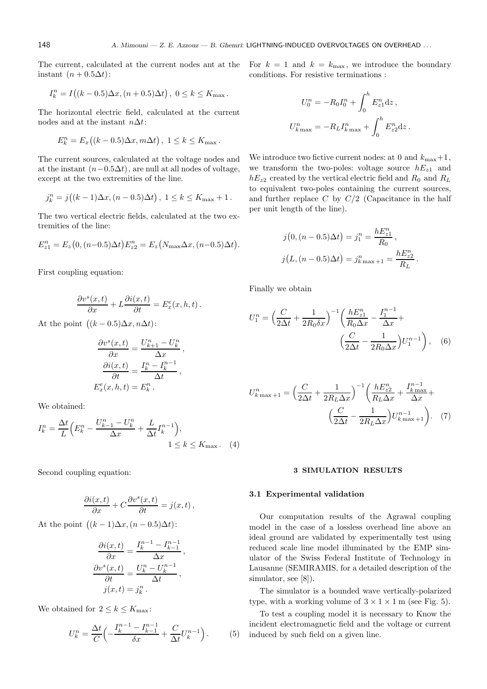The current, calculated at the current nodes ant at the instant  $(n + 0.5\Delta t)$ :

$$
I_k^n = I((k - 0.5)\Delta x, (n + 0.5)\Delta t), \ 0 \le k \le K_{\text{max}}.
$$

The horizontal electric field, calculated at the current nodes and at the instant  $n\Delta t$ :

$$
E_k^n = E_x((k-0.5)\Delta x, m\Delta t), \ 1 \le k \le K_{\text{max}}.
$$

The current sources, calculated at the voltage nodes and at the instant  $(n-0.5\Delta t)$ , are null at all nodes of voltage, except at the two extremities of the line.

$$
j_k^n = j((k-1)\Delta x, (n-0.5)\Delta t), \ 1 \le k \le K_{\text{max}} + 1.
$$

The two vertical electric fields, calculated at the two extremities of the line:

$$
E_{z1}^{n} = E_{z}(0, (n-0.5)\Delta t)E_{z2}^{n} = E_{z}(N_{\text{max}}\Delta x, (n-0.5)\Delta t).
$$

First coupling equation:

$$
\frac{\partial v^s(x,t)}{\partial x} + L \frac{\partial i(x,t)}{\partial t} = E_x^e(x,h,t).
$$

At the point  $((k-0.5)\Delta x, n\Delta t)$ :

$$
\frac{\partial v^s(x,t)}{\partial x} = \frac{U_{k+1}^n - U_k^n}{\Delta x},
$$

$$
\frac{\partial i(x,t)}{\partial t} = \frac{I_k^n - I_k^{n-1}}{\Delta t},
$$

$$
E_x^e(x, h, t) = E_k^n.
$$

We obtained:

$$
I_k^n = \frac{\Delta t}{L} \Big( E_k^n - \frac{U_{k-1}^n - U_k^n}{\Delta x} + \frac{L}{\Delta t} I_k^{n-1} \Big),
$$
  
 
$$
1 \le k \le K_{\text{max}}.
$$
 (4)

Second coupling equation:

$$
\frac{\partial i(x,t)}{\partial x} + C \frac{\partial v^s(x,t)}{\partial t} = j(x,t),
$$

At the point  $((k-1)\Delta x, (n-0.5)\Delta t)$ :

$$
\frac{\partial i(x,t)}{\partial x} = \frac{I_k^{n-1} - I_{k-1}^{n-1}}{\Delta x}
$$

$$
\frac{\partial v^s(x,t)}{\partial t} = \frac{U_k^n - U_k^{n-1}}{\Delta t},
$$

$$
j(x,t) = j_k^n.
$$

We obtained for  $2 \leq k \leq K_{\text{max}}$ :

$$
U_k^n = \frac{\Delta t}{C} \left( -\frac{I_k^{n-1} - I_{k-1}^{n-1}}{\delta x} + \frac{C}{\Delta t} U_k^{n-1} \right). \tag{5}
$$

,

For  $k = 1$  and  $k = k_{\text{max}}$ , we introduce the boundary conditions. For resistive terminations :

$$
U_0^n = -R_0 I_0^n + \int_0^h E_{z1}^n dz,
$$
  

$$
U_{k\max}^n = -R_L I_{k\max}^n + \int_0^h E_{z2}^n dz.
$$

We introduce two fictive current nodes: at 0 and  $k_{\text{max}}+1$ , we transform the two-poles: voltage source  $hE_{z1}$  and  $hE_{z2}$  created by the vertical electric field and  $R_0$  and  $R_L$ to equivalent two-poles containing the current sources, and further replace  $C$  by  $C/2$  (Capacitance in the half per unit length of the line).

$$
j(0, (n - 0.5)\Delta t) = j_1^n = \frac{hE_{z1}^n}{R_0},
$$
  

$$
j(L, (n - 0.5)\Delta t) = j_{k\max + 1}^n = \frac{hE_{z2}^n}{R_L}.
$$

Finally we obtain

$$
U_1^n = \left(\frac{C}{2\Delta t} + \frac{1}{2R_0 \delta x}\right)^{-1} \left(\frac{hE_{z1}^n}{R_0 \Delta x} - \frac{I_1^{n-1}}{\Delta x} + \left(\frac{C}{2\Delta t} - \frac{1}{2R_0 \Delta x}\right) U_1^{n-1}\right), \quad (6)
$$

$$
U_{k\max+1}^{n} = \left(\frac{C}{2\Delta t} + \frac{1}{2R_L\Delta x}\right)^{-1} \left(\frac{hE_{z2}^{n}}{R_L\Delta x} + \frac{I_{k\max}^{n-1}}{\Delta x} + \frac{I_{k\max}^{n}}{\Delta x}\right)
$$

$$
\left(\frac{C}{2\Delta t} - \frac{1}{2R_L\Delta x}\right) U_{k\max+1}^{n-1} \right). \quad (7)
$$

#### 3 SIMULATION RESULTS

#### 3.1 Experimental validation

Our computation results of the Agrawal coupling model in the case of a lossless overhead line above an ideal ground are validated by experimentally test using reduced scale line model illuminated by the EMP simulator of the Swiss Federal Institute of Technology in Lausanne (SEMIRAMIS, for a detailed description of the simulator, see [8]).

The simulator is a bounded wave vertically-polarized type, with a working volume of  $3 \times 1 \times 1$  m (see Fig. 5).

To test a coupling model it is necessary to Know the incident electromagnetic field and the voltage or current induced by such field on a given line.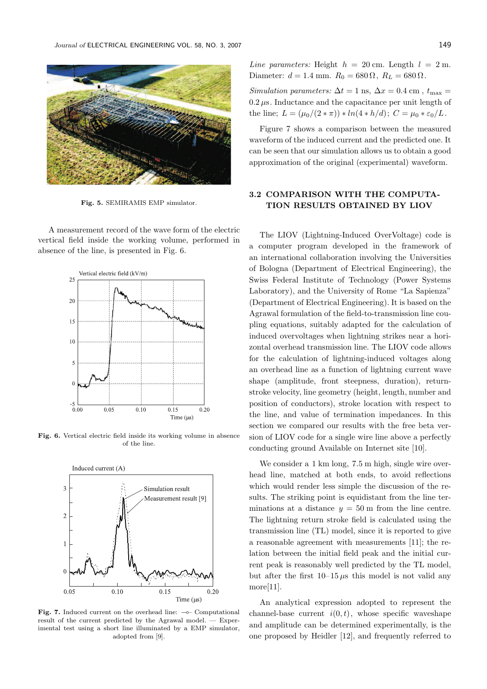

Fig. 5. SEMIRAMIS EMP simulator.

A measurement record of the wave form of the electric vertical field inside the working volume, performed in absence of the line, is presented in Fig. 6.



Fig. 6. Vertical electric field inside its working volume in absence of the line.



Fig. 7. Induced current on the overhead line: ⊸– Computational result of the current predicted by the Agrawal model. — Experimental test using a short line illuminated by a EMP simulator, adopted from [9].

Line parameters: Height  $h = 20$  cm. Length  $l = 2$  m. Diameter:  $d = 1.4$  mm.  $R_0 = 680 \Omega$ ,  $R_L = 680 \Omega$ .

Simulation parameters:  $\Delta t = 1$  ns,  $\Delta x = 0.4$  cm,  $t_{\text{max}} =$  $0.2 \,\mu s$ . Inductance and the capacitance per unit length of the line;  $L = (\mu_0/(2 * \pi)) * ln(4 * h/d); C = \mu_0 * \varepsilon_0/L$ .

Figure 7 shows a comparison between the measured waveform of the induced current and the predicted one. It can be seen that our simulation allows us to obtain a good approximation of the original (experimental) waveform.

## 3.2 COMPARISON WITH THE COMPUTA-TION RESULTS OBTAINED BY LIOV

The LIOV (Lightning-Induced OverVoltage) code is a computer program developed in the framework of an international collaboration involving the Universities of Bologna (Department of Electrical Engineering), the Swiss Federal Institute of Technology (Power Systems Laboratory), and the University of Rome "La Sapienza" (Department of Electrical Engineering). It is based on the Agrawal formulation of the field-to-transmission line coupling equations, suitably adapted for the calculation of induced overvoltages when lightning strikes near a horizontal overhead transmission line. The LIOV code allows for the calculation of lightning-induced voltages along an overhead line as a function of lightning current wave shape (amplitude, front steepness, duration), returnstroke velocity, line geometry (height, length, number and position of conductors), stroke location with respect to the line, and value of termination impedances. In this section we compared our results with the free beta version of LIOV code for a single wire line above a perfectly conducting ground Available on Internet site [10].

We consider a 1 km long, 7.5 m high, single wire overhead line, matched at both ends, to avoid reflections which would render less simple the discussion of the results. The striking point is equidistant from the line terminations at a distance  $y = 50$  m from the line centre. The lightning return stroke field is calculated using the transmission line (TL) model, since it is reported to give a reasonable agreement with measurements [11]; the relation between the initial field peak and the initial current peak is reasonably well predicted by the TL model, but after the first  $10-15 \mu s$  this model is not valid any more[11].

An analytical expression adopted to represent the channel-base current  $i(0, t)$ , whose specific waveshape and amplitude can be determined experimentally, is the one proposed by Heidler [12], and frequently referred to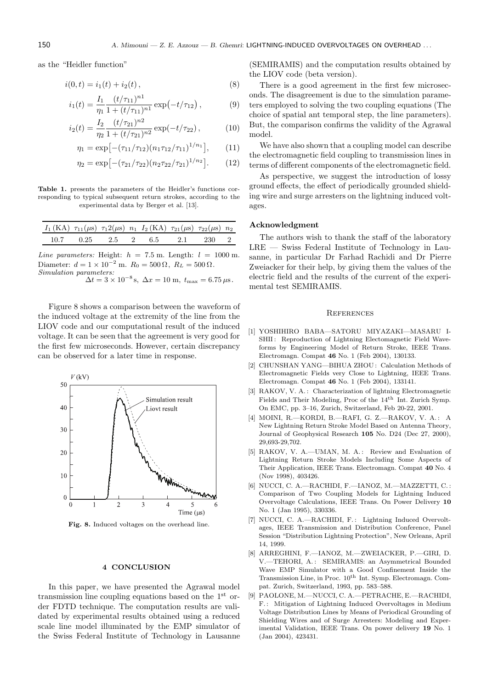as the "Heidler function"

$$
i(0,t) = i_1(t) + i_2(t), \qquad (8)
$$

$$
i_1(t) = \frac{I_1}{\eta_1} \frac{(t/\tau_{11})^{n_1}}{1 + (t/\tau_{11})^{n_1}} \exp(-t/\tau_{12}), \qquad (9)
$$

$$
i_2(t) = \frac{I_2}{\eta_2} \frac{(t/\tau_{21})^{n2}}{1 + (t/\tau_{21})^{n2}} \exp(-t/\tau_{22}),
$$
 (10)

$$
\eta_1 = \exp[-(\tau_{11}/\tau_{12})(n_1\tau_{12}/\tau_{11})^{1/n_1}], \qquad (11)
$$

$$
\eta_2 = \exp[-(\tau_{21}/\tau_{22})(n_2\tau_{22}/\tau_{21})^{1/n_2}].
$$
 (12)

Table 1. presents the parameters of the Heidler's functions corresponding to typical subsequent return strokes, according to the experimental data by Berger et al. [13].

| $I_1(KA)$ $\tau_{11}(\mu s)$ $\tau_12(\mu s)$ $n_1$ $I_2(KA)$ $\tau_{21}(\mu s)$ $\tau_{22}(\mu s)$ $n_2$ |  |                                               |  |  |
|-----------------------------------------------------------------------------------------------------------|--|-----------------------------------------------|--|--|
|                                                                                                           |  | $10.7$ $0.25$ $2.5$ $2$ $6.5$ $2.1$ $230$ $2$ |  |  |

Line parameters: Height:  $h = 7.5$  m. Length:  $l = 1000$  m. Diameter:  $d = 1 \times 10^{-2}$  m.  $R_0 = 500 \Omega$ ,  $R_L = 500 \Omega$ . Simulation parameters:

 $\Delta t = 3 \times 10^{-8}$  s,  $\Delta x = 10$  m,  $t_{\text{max}} = 6.75 \,\mu s$ .

Figure 8 shows a comparison between the waveform of the induced voltage at the extremity of the line from the LIOV code and our computational result of the induced voltage. It can be seen that the agreement is very good for the first few microseconds. However, certain discrepancy can be observed for a later time in response.



Fig. 8. Induced voltages on the overhead line.

#### 4 CONCLUSION

In this paper, we have presented the Agrawal model transmission line coupling equations based on the 1st order FDTD technique. The computation results are validated by experimental results obtained using a reduced scale line model illuminated by the EMP simulator of the Swiss Federal Institute of Technology in Lausanne

(SEMIRAMIS) and the computation results obtained by the LIOV code (beta version).

There is a good agreement in the first few microseconds. The disagreement is due to the simulation parameters employed to solving the two coupling equations (The choice of spatial ant temporal step, the line parameters). But, the comparison confirms the validity of the Agrawal model.

We have also shown that a coupling model can describe the electromagnetic field coupling to transmission lines in terms of different components of the electromagnetic field.

As perspective, we suggest the introduction of lossy ground effects, the effect of periodically grounded shielding wire and surge arresters on the lightning induced voltages.

#### Acknowledgment

The authors wish to thank the staff of the laboratory  $LRE - Swiss$  Federal Institute of Technology in Lausanne, in particular Dr Farhad Rachidi and Dr Pierre Zweiacker for their help, by giving them the values of the electric field and the results of the current of the experimental test SEMIRAMIS.

#### **REFERENCES**

- [1] YOSHIHIRO BABA—SATORU MIYAZAKI—MASARU I-SHII: Reproduction of Lightning Electomagnetic Field Waveforms by Engineering Model of Return Stroke, IEEE Trans. Electromagn. Compat 46 No. 1 (Feb 2004), 130133.
- [2] CHUNSHAN YANG—BIHUA ZHOU : Calculation Methods of Electromagnetic Fields very Close to Lightning, IEEE Trans. Electromagn. Compat 46 No. 1 (Feb 2004), 133141.
- [3] RAKOV, V. A.: Characterization of lightning Electromagnetic Fields and Their Modeling, Proc of the 14th Int. Zurich Symp. On EMC, pp. 3–16, Zurich, Switzerland, Feb 20-22, 2001.
- [4] MOINI, R.—KORDI, B.—RAFI, G. Z.—RAKOV, V. A. : A New Lightning Return Stroke Model Based on Antenna Theory, Journal of Geophysical Research 105 No. D24 (Dec 27, 2000), 29,693-29,702.
- [5] RAKOV, V. A.-UMAN, M. A.: Review and Evaluation of Lightning Return Stroke Models Including Some Aspects of Their Application, IEEE Trans. Electromagn. Compat 40 No. 4 (Nov 1998), 403426.
- [6] NUCCI, C. A.—RACHIDI, F.—IANOZ, M.—MAZZETTI, C. : Comparison of Two Coupling Models for Lightning Induced Overvoltage Calculations, IEEE Trans. On Power Delivery 10 No. 1 (Jan 1995), 330336.
- [7] NUCCI, C. A.—RACHIDI, F.: Lightning Induced Overvoltages, IEEE Transmission and Distribution Conference, Panel Session "Distribution Lightning Protection", New Orleans, April 14, 1999.
- [8] ARREGHINI, F.—IANOZ, M.—ZWEIACKER, P.—GIRI, D. V.-TEHORI, A.: SEMIRAMIS: an Asymmetrical Bounded Wave EMP Simulator with a Good Confinement Inside the Transmission Line, in Proc.  $10^{th}$  Int. Symp. Electromagn. Compat. Zurich, Switzerland, 1993, pp. 583–588.
- [9] PAOLONE, M.—NUCCI, C. A.—PETRACHE, E.—RACHIDI, F.: Mitigation of Lightning Induced Overvoltages in Medium Voltage Distribution Lines by Means of Periodical Grounding of Shielding Wires and of Surge Arresters: Modeling and Experimental Validation, IEEE Trans. On power delivery 19 No. 1 (Jan 2004), 423431.